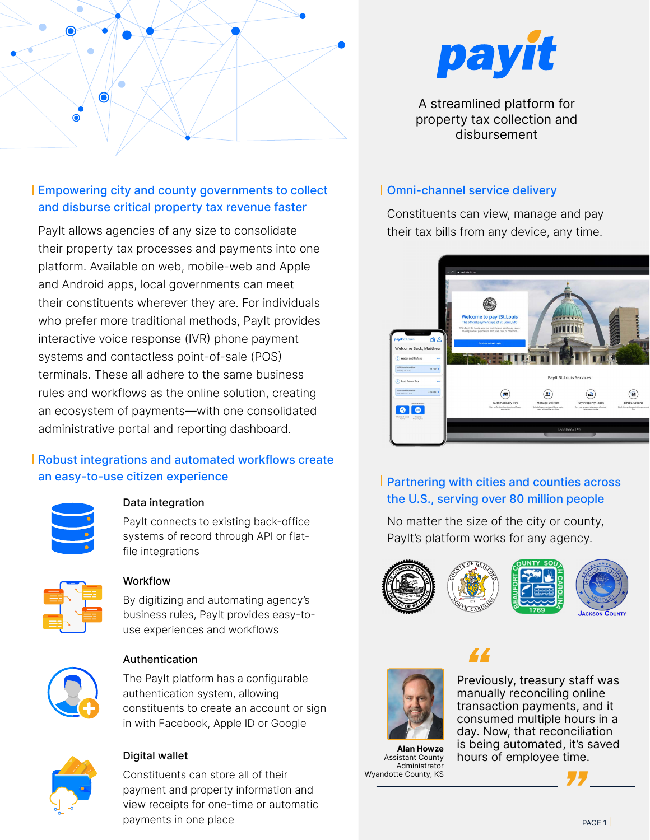

## Empowering city and county governments to collect and disburse critical property tax revenue faster

PayIt allows agencies of any size to consolidate their property tax processes and payments into one platform. Available on web, mobile-web and Apple and Android apps, local governments can meet their constituents wherever they are. For individuals who prefer more traditional methods, PayIt provides interactive voice response (IVR) phone payment systems and contactless point-of-sale (POS) terminals. These all adhere to the same business rules and workflows as the online solution, creating an ecosystem of payments—with one consolidated administrative portal and reporting dashboard.

## Robust integrations and automated workflows create an easy-to-use citizen experience



### Data integration

PayIt connects to existing back-office systems of record through API or flatfile integrations



### Workflow

By digitizing and automating agency's business rules, PayIt provides easy-touse experiences and workflows



### Authentication

The PayIt platform has a configurable authentication system, allowing constituents to create an account or sign in with Facebook, Apple ID or Google



## Digital wallet

Constituents can store all of their payment and property information and view receipts for one-time or automatic payments in one place example and the payments in one place  $\frac{1}{2}$ 



A streamlined platform for property tax collection and disbursement

### Omni-channel service delivery

Constituents can view, manage and pay their tax bills from any device, any time.



# **Partnering with cities and counties across** the U.S., serving over 80 million people

No matter the size of the city or county, PayIt's platform works for any agency.





*Pole Life Convertsed Life Convertsed*<br>Previously, treasury staff was manually reconciling online transaction payments, and it consumed multiple hours in a day. Now, that reconciliation is being automated, it's saved hours of employee time. *"*

Assistant County Administrator Wyandotte County, KS